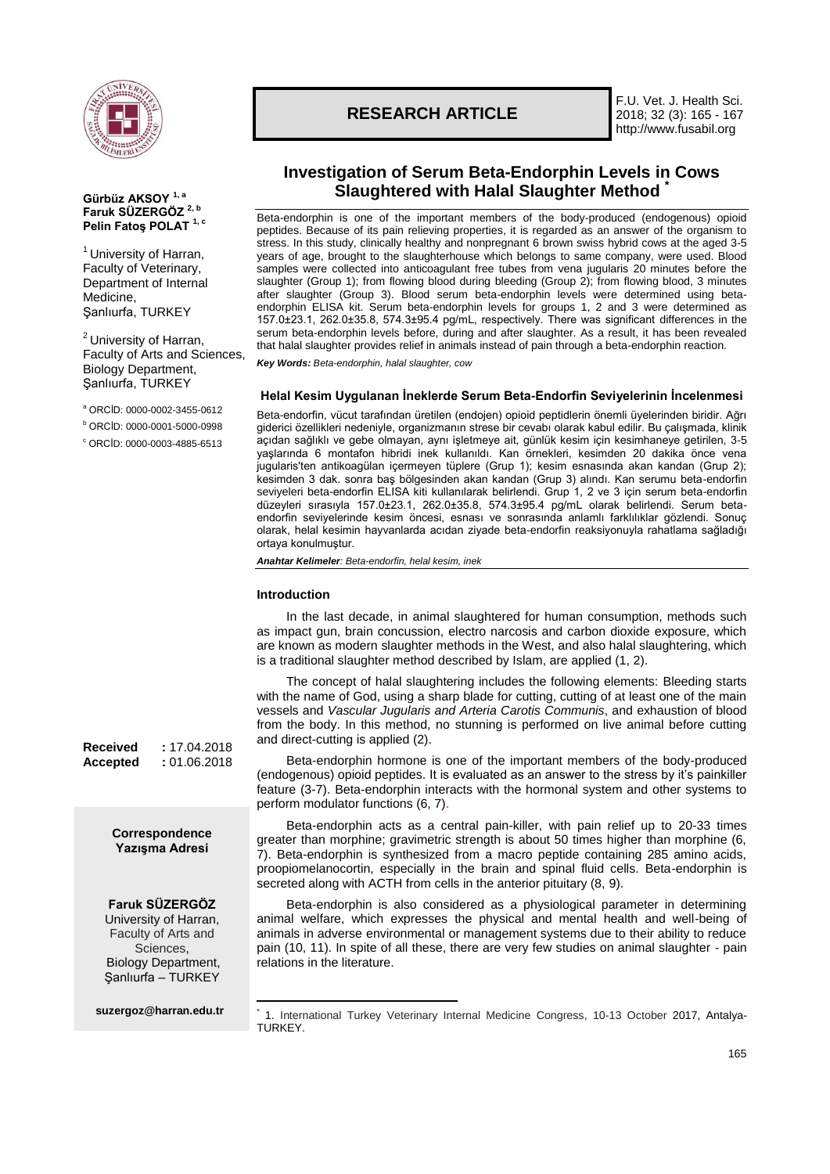

**Gürbüz AKSOY 1, a Faruk SÜZERGÖZ 2, b Pelin Fatoş POLAT 1, c**

 $1$  University of Harran, Faculty of Veterinary, Department of Internal

Şanlıurfa, TURKEY

<sup>2</sup> University of Harran, Faculty of Arts and Sciences, Biology Department, Şanlıurfa, TURKEY

<sup>a</sup> ORCİD: 0000-0002-3455-0612 <sup>b</sup> ORCİD: 0000-0001-5000-0998 <sup>c</sup> ORCİD: 0000-0003-4885-6513

Medicine,

# **RESEARCH ARTICLE**

F.U. Vet. J. Health Sci. 2018; 32 (3): 165 - 167 http://www.fusabil.org

## **Investigation of Serum Beta-Endorphin Levels in Cows Slaughtered with Halal Slaughter Method \***

Beta-endorphin is one of the important members of the body-produced (endogenous) opioid peptides. Because of its pain relieving properties, it is regarded as an answer of the organism to stress. In this study, clinically healthy and nonpregnant 6 brown swiss hybrid cows at the aged 3-5 years of age, brought to the slaughterhouse which belongs to same company, were used. Blood samples were collected into anticoagulant free tubes from vena jugularis 20 minutes before the slaughter (Group 1); from flowing blood during bleeding (Group 2); from flowing blood, 3 minutes after slaughter (Group 3). Blood serum beta-endorphin levels were determined using betaendorphin ELISA kit. Serum beta-endorphin levels for groups 1, 2 and 3 were determined as 157.0±23.1, 262.0±35.8, 574.3±95.4 pg/mL, respectively. There was significant differences in the serum beta-endorphin levels before, during and after slaughter. As a result, it has been revealed that halal slaughter provides relief in animals instead of pain through a beta-endorphin reaction.

*Key Words: Beta-endorphin, halal slaughter, cow*

## **Helal Kesim Uygulanan İneklerde Serum Beta-Endorfin Seviyelerinin İncelenmesi**

Beta-endorfin, vücut tarafından üretilen (endojen) opioid peptidlerin önemli üyelerinden biridir. Ağrı giderici özellikleri nedeniyle, organizmanın strese bir cevabı olarak kabul edilir. Bu çalışmada, klinik açıdan sağlıklı ve gebe olmayan, aynı işletmeye ait, günlük kesim için kesimhaneye getirilen, 3-5 yaşlarında 6 montafon hibridi inek kullanıldı. Kan örnekleri, kesimden 20 dakika önce vena jugularis'ten antikoagülan içermeyen tüplere (Grup 1); kesim esnasında akan kandan (Grup 2); kesimden 3 dak. sonra baş bölgesinden akan kandan (Grup 3) alındı. Kan serumu beta-endorfin seviyeleri beta-endorfin ELISA kiti kullanılarak belirlendi. Grup 1, 2 ve 3 için serum beta-endorfin düzeyleri sırasıyla 157.0±23.1, 262.0±35.8, 574.3±95.4 pg/mL olarak belirlendi. Serum betaendorfin seviyelerinde kesim öncesi, esnası ve sonrasında anlamlı farklılıklar gözlendi. Sonuç olarak, helal kesimin hayvanlarda acıdan ziyade beta-endorfin reaksiyonuyla rahatlama sağladığı ortaya konulmuştur.

*Anahtar Kelimeler: Beta-endorfin, helal kesim, inek*

#### **Introduction**

In the last decade, in animal slaughtered for human consumption, methods such as impact gun, brain concussion, electro narcosis and carbon dioxide exposure, which are known as modern slaughter methods in the West, and also halal slaughtering, which is a traditional slaughter method described by Islam, are applied (1, 2).

The concept of halal slaughtering includes the following elements: Bleeding starts with the name of God, using a sharp blade for cutting, cutting of at least one of the main vessels and *Vascular Jugularis and Arteria Carotis Communis*, and exhaustion of blood from the body. In this method, no stunning is performed on live animal before cutting and direct-cutting is applied (2).

Beta-endorphin hormone is one of the important members of the body-produced (endogenous) opioid peptides. It is evaluated as an answer to the stress by it's painkiller feature (3-7). Beta-endorphin interacts with the hormonal system and other systems to perform modulator functions (6, 7).

Beta-endorphin acts as a central pain-killer, with pain relief up to 20-33 times greater than morphine; gravimetric strength is about 50 times higher than morphine (6, 7). Beta-endorphin is synthesized from a macro peptide containing 285 amino acids, proopiomelanocortin, especially in the brain and spinal fluid cells. Beta-endorphin is secreted along with ACTH from cells in the anterior pituitary (8, 9).

Beta-endorphin is also considered as a physiological parameter in determining animal welfare, which expresses the physical and mental health and well-being of animals in adverse environmental or management systems due to their ability to reduce pain (10, 11). In spite of all these, there are very few studies on animal slaughter - pain relations in the literature.

**Received :** 17.04.2018 **Accepted :** 01.06.2018

> **Correspondence Yazışma Adresi**

### **Faruk SÜZERGÖZ**

University of Harran, Faculty of Arts and Sciences, Biology Department, Şanlıurfa – TURKEY

**[suzergoz@harran.edu.tr](mailto:ckalkan@firat.edu.tr)**

<sup>1</sup> \* 1. International Turkey Veterinary Internal Medicine Congress, 10-13 October 2017, Antalya-TURKEY.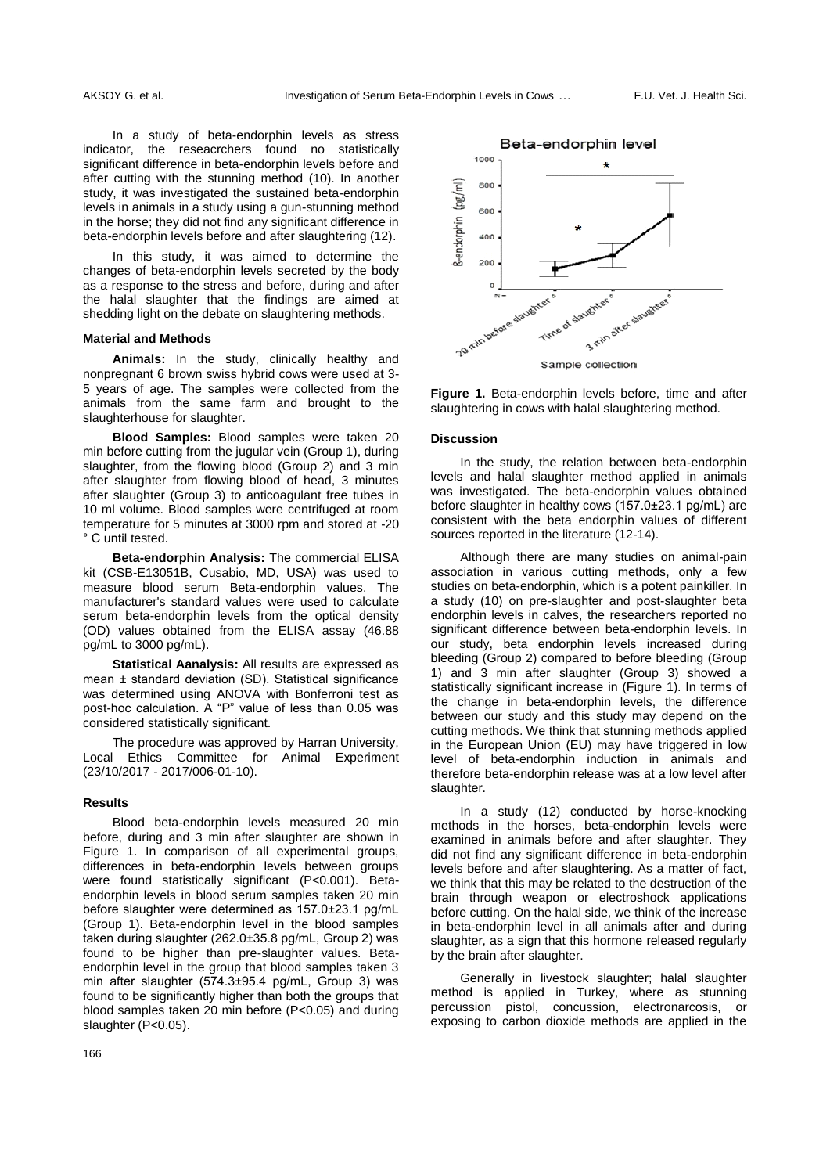In a study of beta-endorphin levels as stress indicator, the reseacrchers found no statistically significant difference in beta-endorphin levels before and after cutting with the stunning method (10). In another study, it was investigated the sustained beta-endorphin levels in animals in a study using a gun-stunning method in the horse; they did not find any significant difference in beta-endorphin levels before and after slaughtering (12).

In this study, it was aimed to determine the changes of beta-endorphin levels secreted by the body as a response to the stress and before, during and after the halal slaughter that the findings are aimed at shedding light on the debate on slaughtering methods.

#### **Material and Methods**

**Animals:** In the study, clinically healthy and nonpregnant 6 brown swiss hybrid cows were used at 3- 5 years of age. The samples were collected from the animals from the same farm and brought to the slaughterhouse for slaughter.

**Blood Samples:** Blood samples were taken 20 min before cutting from the jugular vein (Group 1), during slaughter, from the flowing blood (Group 2) and 3 min after slaughter from flowing blood of head, 3 minutes after slaughter (Group 3) to anticoagulant free tubes in 10 ml volume. Blood samples were centrifuged at room temperature for 5 minutes at 3000 rpm and stored at -20 ° C until tested.

**Beta-endorphin Analysis:** The commercial ELISA kit (CSB-E13051B, Cusabio, MD, USA) was used to measure blood serum Beta-endorphin values. The manufacturer's standard values were used to calculate serum beta-endorphin levels from the optical density (OD) values obtained from the ELISA assay (46.88 pg/mL to 3000 pg/mL).

**Statistical Aanalysis:** All results are expressed as mean ± standard deviation (SD). Statistical significance was determined using ANOVA with Bonferroni test as post-hoc calculation. A "P" value of less than 0.05 was considered statistically significant.

The procedure was approved by Harran University, Local Ethics Committee for Animal Experiment (23/10/2017 - 2017/006-01-10).

#### **Results**

Blood beta-endorphin levels measured 20 min before, during and 3 min after slaughter are shown in Figure 1. In comparison of all experimental groups, differences in beta-endorphin levels between groups were found statistically significant (P<0.001). Betaendorphin levels in blood serum samples taken 20 min before slaughter were determined as 157.0±23.1 pg/mL (Group 1). Beta-endorphin level in the blood samples taken during slaughter (262.0±35.8 pg/mL, Group 2) was found to be higher than pre-slaughter values. Betaendorphin level in the group that blood samples taken 3 min after slaughter (574.3±95.4 pg/mL, Group 3) was found to be significantly higher than both the groups that blood samples taken 20 min before (P<0.05) and during slaughter (P<0.05).



**Figure 1.** Beta-endorphin levels before, time and after slaughtering in cows with halal slaughtering method.

#### **Discussion**

In the study, the relation between beta-endorphin levels and halal slaughter method applied in animals was investigated. The beta-endorphin values obtained before slaughter in healthy cows (157.0±23.1 pg/mL) are consistent with the beta endorphin values of different sources reported in the literature (12-14).

Although there are many studies on animal-pain association in various cutting methods, only a few studies on beta-endorphin, which is a potent painkiller. In a study (10) on pre-slaughter and post-slaughter beta endorphin levels in calves, the researchers reported no significant difference between beta-endorphin levels. In our study, beta endorphin levels increased during bleeding (Group 2) compared to before bleeding (Group 1) and 3 min after slaughter (Group 3) showed a statistically significant increase in (Figure 1). In terms of the change in beta-endorphin levels, the difference between our study and this study may depend on the cutting methods. We think that stunning methods applied in the European Union (EU) may have triggered in low level of beta-endorphin induction in animals and therefore beta-endorphin release was at a low level after slaughter.

In a study (12) conducted by horse-knocking methods in the horses, beta-endorphin levels were examined in animals before and after slaughter. They did not find any significant difference in beta-endorphin levels before and after slaughtering. As a matter of fact, we think that this may be related to the destruction of the brain through weapon or electroshock applications before cutting. On the halal side, we think of the increase in beta-endorphin level in all animals after and during slaughter, as a sign that this hormone released regularly by the brain after slaughter.

Generally in livestock slaughter; halal slaughter method is applied in Turkey, where as stunning percussion pistol, concussion, electronarcosis, or exposing to carbon dioxide methods are applied in the